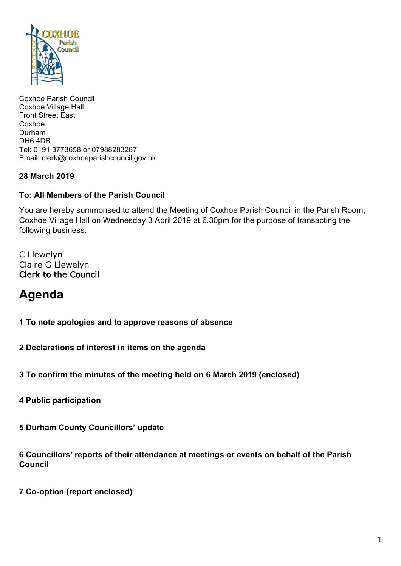

Coxhoe Parish Council Coxhoe Village Hall Front Street East Coxhoe Durham DH6 4DB Tel: 0191 3773658 or 07988283287 Email: clerk@coxhoeparishcouncil.gov.uk

## **28 March 2019**

## **To: All Members of the Parish Council**

You are hereby summonsed to attend the Meeting of Coxhoe Parish Council in the Parish Room, Coxhoe Village Hall on Wednesday 3 April 2019 at 6.30pm for the purpose of transacting the following business:

C Llewelyn Claire G Llewelyn Clerk to the Council

# **Agenda**

**1 To note apologies and to approve reasons of absence**

**2 Declarations of interest in items on the agenda**

**3 To confirm the minutes of the meeting held on 6 March 2019 (enclosed)**

**4 Public participation**

**5 Durham County Councillors' update**

**6 Councillors' reports of their attendance at meetings or events on behalf of the Parish Council**

**7 Co-option (report enclosed)**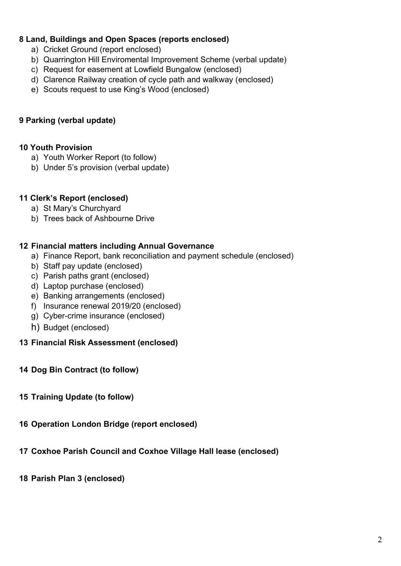# **8 Land, Buildings and Open Spaces (reports enclosed)**

- a) Cricket Ground (report enclosed)
- b) Quarrington Hill Enviromental Improvement Scheme (verbal update)
- c) Request for easement at Lowfield Bungalow (enclosed)
- d) Clarence Railway creation of cycle path and walkway (enclosed)
- e) Scouts request to use King's Wood (enclosed)

## **9 Parking (verbal update)**

#### **10 Youth Provision**

- a) Youth Worker Report (to follow)
- b) Under 5's provision (verbal update)

#### **11 Clerk's Report (enclosed)**

- a) St Mary's Churchyard
- b) Trees back of Ashbourne Drive

#### **12 Financial matters including Annual Governance**

- a) Finance Report, bank reconciliation and payment schedule (enclosed)
- b) Staff pay update (enclosed)
- c) Parish paths grant (enclosed)
- d) Laptop purchase (enclosed)
- e) Banking arrangements (enclosed)
- f) Insurance renewal 2019/20 (enclosed)
- g) Cyber-crime insurance (enclosed)
- h) Budget (enclosed)

#### **13 Financial Risk Assessment (enclosed)**

- **14 Dog Bin Contract (to follow)**
- **15 Training Update (to follow)**
- **16 Operation London Bridge (report enclosed)**
- **17 Coxhoe Parish Council and Coxhoe Village Hall lease (enclosed)**
- **18 Parish Plan 3 (enclosed)**